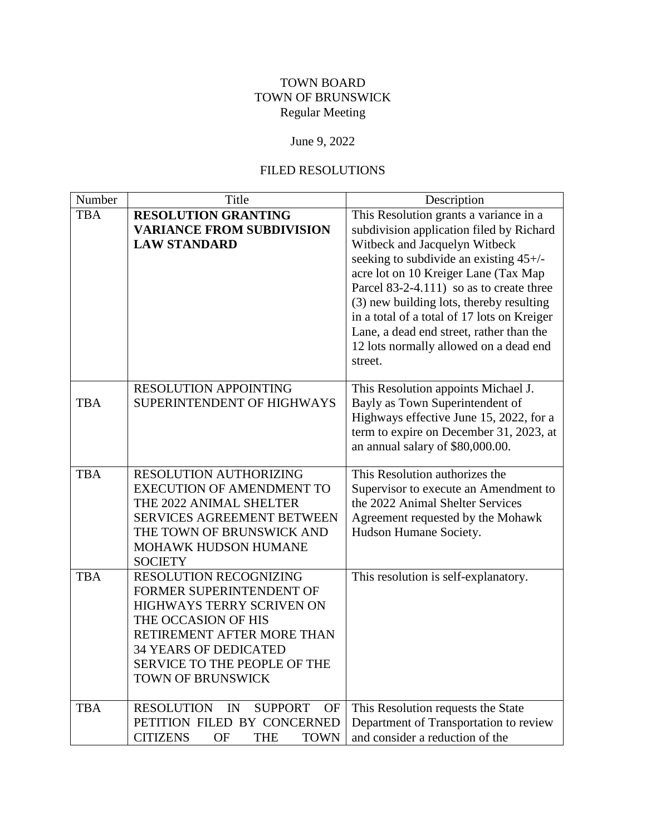## TOWN BOARD TOWN OF BRUNSWICK Regular Meeting

## June 9, 2022

## FILED RESOLUTIONS

| Number     | Title                                                                                                                                                                                                                     | Description                                                                                                                                                                                                                                                                                                                                                                                                                                   |
|------------|---------------------------------------------------------------------------------------------------------------------------------------------------------------------------------------------------------------------------|-----------------------------------------------------------------------------------------------------------------------------------------------------------------------------------------------------------------------------------------------------------------------------------------------------------------------------------------------------------------------------------------------------------------------------------------------|
| <b>TBA</b> | <b>RESOLUTION GRANTING</b><br><b>VARIANCE FROM SUBDIVISION</b><br><b>LAW STANDARD</b>                                                                                                                                     | This Resolution grants a variance in a<br>subdivision application filed by Richard<br>Witbeck and Jacquelyn Witbeck<br>seeking to subdivide an existing 45+/-<br>acre lot on 10 Kreiger Lane (Tax Map<br>Parcel 83-2-4.111) so as to create three<br>(3) new building lots, thereby resulting<br>in a total of a total of 17 lots on Kreiger<br>Lane, a dead end street, rather than the<br>12 lots normally allowed on a dead end<br>street. |
| <b>TBA</b> | <b>RESOLUTION APPOINTING</b><br>SUPERINTENDENT OF HIGHWAYS                                                                                                                                                                | This Resolution appoints Michael J.<br>Bayly as Town Superintendent of<br>Highways effective June 15, 2022, for a<br>term to expire on December 31, 2023, at<br>an annual salary of \$80,000.00.                                                                                                                                                                                                                                              |
| <b>TBA</b> | <b>RESOLUTION AUTHORIZING</b><br><b>EXECUTION OF AMENDMENT TO</b><br>THE 2022 ANIMAL SHELTER<br>SERVICES AGREEMENT BETWEEN<br>THE TOWN OF BRUNSWICK AND<br>MOHAWK HUDSON HUMANE<br><b>SOCIETY</b>                         | This Resolution authorizes the<br>Supervisor to execute an Amendment to<br>the 2022 Animal Shelter Services<br>Agreement requested by the Mohawk<br>Hudson Humane Society.                                                                                                                                                                                                                                                                    |
| <b>TBA</b> | RESOLUTION RECOGNIZING<br>FORMER SUPERINTENDENT OF<br>HIGHWAYS TERRY SCRIVEN ON<br>THE OCCASION OF HIS<br>RETIREMENT AFTER MORE THAN<br><b>34 YEARS OF DEDICATED</b><br>SERVICE TO THE PEOPLE OF THE<br>TOWN OF BRUNSWICK | This resolution is self-explanatory.                                                                                                                                                                                                                                                                                                                                                                                                          |
| <b>TBA</b> | <b>RESOLUTION</b><br><b>SUPPORT</b><br>IN<br><b>OF</b><br>PETITION FILED BY CONCERNED<br><b>CITIZENS</b><br>OF<br><b>THE</b><br><b>TOWN</b>                                                                               | This Resolution requests the State<br>Department of Transportation to review<br>and consider a reduction of the                                                                                                                                                                                                                                                                                                                               |